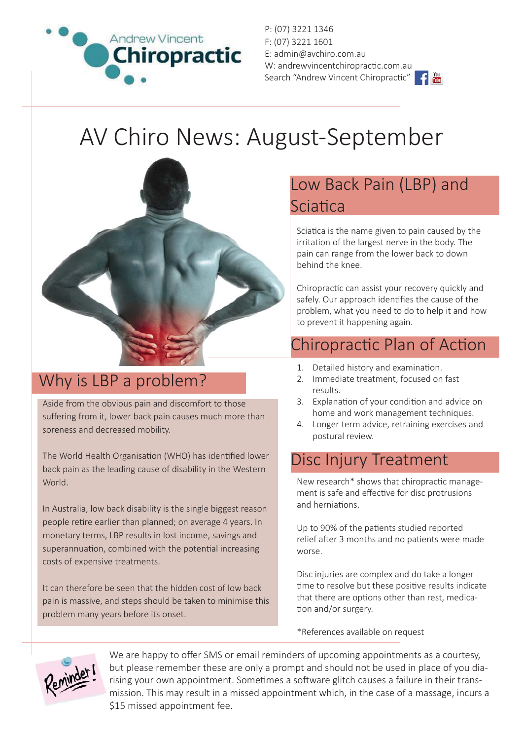

P: (07) 3221 1346 F: (07) 3221 1601 E: admin@avchiro.com.au W: andrewvincentchiropractic.com.au Search "Andrew Vincent Chiropractic"

# AV Chiro News: August-September



## Why is LBP a problem?

Aside from the obvious pain and discomfort to those suffering from it, lower back pain causes much more than soreness and decreased mobility.

The World Health Organisation (WHO) has identified lower back pain as the leading cause of disability in the Western World.

In Australia, low back disability is the single biggest reason people retire earlier than planned; on average 4 years. In monetary terms, LBP results in lost income, savings and superannuation, combined with the potential increasing costs of expensive treatments.

It can therefore be seen that the hidden cost of low back pain is massive, and steps should be taken to minimise this problem many years before its onset.

## Low Back Pain (LBP) and **Sciatica**

Sciatica is the name given to pain caused by the irritation of the largest nerve in the body. The pain can range from the lower back to down behind the knee.

Chiropractic can assist your recovery quickly and safely. Our approach identifies the cause of the problem, what you need to do to help it and how to prevent it happening again.

# Chiropractic Plan of Action

- 1. Detailed history and examination.
- 2. Immediate treatment, focused on fast results.
- 3. Explanation of your condition and advice on home and work management techniques.
- 4. Longer term advice, retraining exercises and postural review.

### Disc Injury Treatment

New research\* shows that chiropractic management is safe and effective for disc protrusions and herniations.

Up to 90% of the patients studied reported relief after 3 months and no patients were made worse.

Disc injuries are complex and do take a longer time to resolve but these positive results indicate that there are options other than rest, medication and/or surgery.

\*References available on request



We are happy to offer SMS or email reminders of upcoming appointments as a courtesy, but please remember these are only a prompt and should not be used in place of you diarising your own appointment. Sometimes a software glitch causes a failure in their transmission. This may result in a missed appointment which, in the case of a massage, incurs a \$15 missed appointment fee.